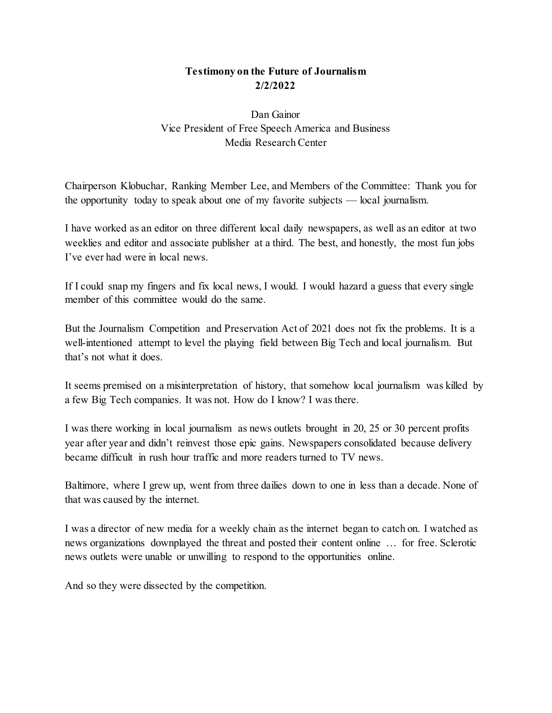## **Testimony on the Future of Journalism 2/2/2022**

Dan Gainor Vice President of Free Speech America and Business Media Research Center

Chairperson Klobuchar, Ranking Member Lee, and Members of the Committee: Thank you for the opportunity today to speak about one of my favorite subjects — local journalism.

I have worked as an editor on three different local daily newspapers, as well as an editor at two weeklies and editor and associate publisher at a third. The best, and honestly, the most fun jobs I've ever had were in local news.

If I could snap my fingers and fix local news, I would. I would hazard a guess that every single member of this committee would do the same.

But the Journalism Competition and Preservation Act of 2021 does not fix the problems. It is a well-intentioned attempt to level the playing field between Big Tech and local journalism. But that's not what it does.

It seems premised on a misinterpretation of history, that somehow local journalism was killed by a few Big Tech companies. It was not. How do I know? I was there.

I was there working in local journalism as news outlets brought in 20, 25 or 30 percent profits year after year and didn't reinvest those epic gains. Newspapers consolidated because delivery became difficult in rush hour traffic and more readers turned to TV news.

Baltimore, where I grew up, went from three dailies down to one in less than a decade. None of that was caused by the internet.

I was a director of new media for a weekly chain as the internet began to catch on. I watched as news organizations downplayed the threat and posted their content online … for free. Sclerotic news outlets were unable or unwilling to respond to the opportunities online.

And so they were dissected by the competition.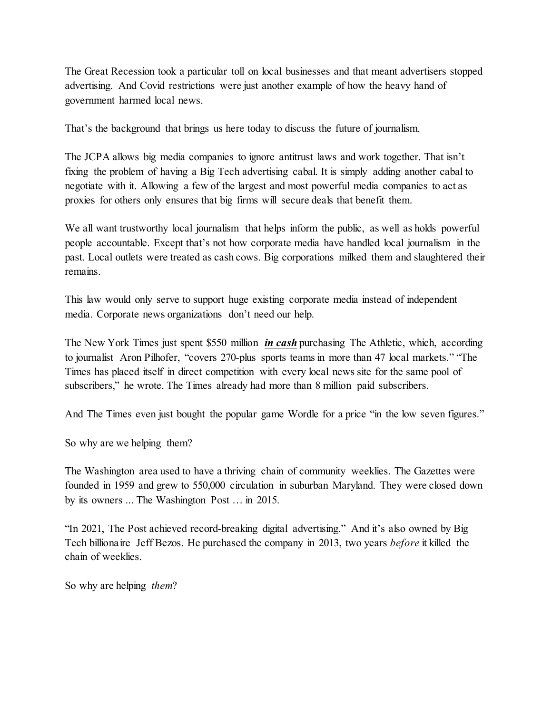The Great Recession took a particular toll on local businesses and that meant advertisers stopped advertising. And Covid restrictions were just another example of how the heavy hand of government harmed local news.

That's the background that brings us here today to discuss the future of journalism.

The JCPA allows big media companies to ignore antitrust laws and work together. That isn't fixing the problem of having a Big Tech advertising cabal. It is simply adding another cabal to negotiate with it. Allowing a few of the largest and most powerful media companies to act as proxies for others only ensures that big firms will secure deals that benefit them.

We all want trustworthy local journalism that helps inform the public, as well as holds powerful people accountable. Except that's not how corporate media have handled local journalism in the past. Local outlets were treated as cash cows. Big corporations milked them and slaughtered their remains.

This law would only serve to support huge existing corporate media instead of independent media. Corporate news organizations don't need our help.

The New York Times just spent \$550 million *in cash* purchasing The Athletic, which, according to journalist Aron Pilhofer, "covers 270-plus sports teams in more than 47 local markets." "The Times has placed itself in direct competition with every local news site for the same pool of subscribers," he wrote. The Times already had more than 8 million paid subscribers.

And The Times even just bought the popular game Wordle for a price "in the low seven figures."

So why are we helping them?

The Washington area used to have a thriving chain of community weeklies. The Gazettes were founded in 1959 and grew to 550,000 circulation in suburban Maryland. They were closed down by its owners ... The Washington Post … in 2015.

"In 2021, The Post achieved record-breaking digital advertising." And it's also owned by Big Tech billionaire Jeff Bezos. He purchased the company in 2013, two years *before* it killed the chain of weeklies.

So why are helping *them*?